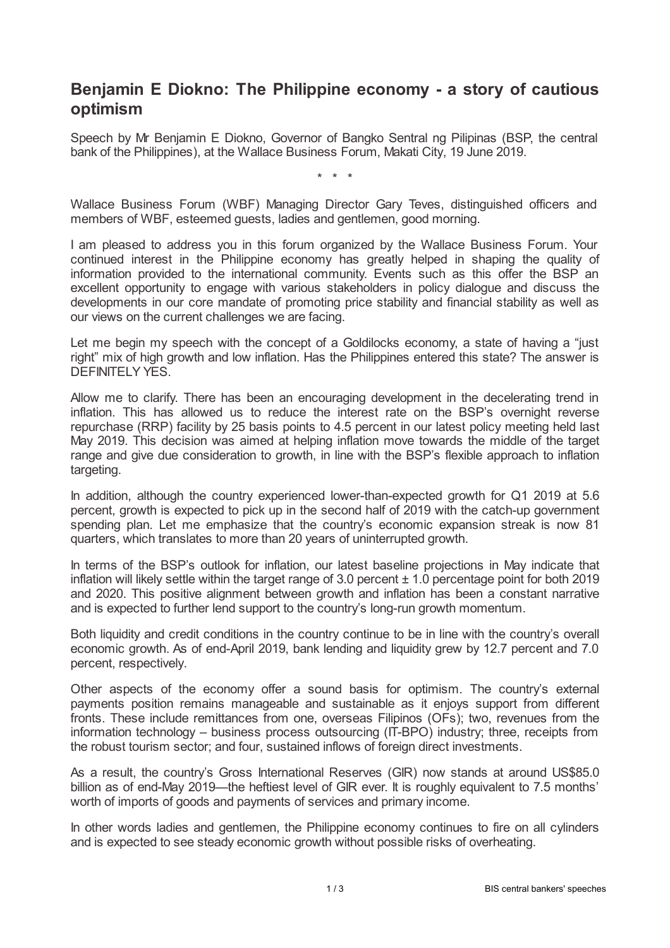## **Benjamin E Diokno: The Philippine economy - a story of cautious optimism**

Speech by Mr Benjamin E Diokno, Governor of Bangko Sentral ng Pilipinas (BSP, the central bank of the Philippines), at the Wallace Business Forum, Makati City, 19 June 2019.

\* \* \*

Wallace Business Forum (WBF) Managing Director Gary Teves, distinguished officers and members of WBF, esteemed guests, ladies and gentlemen, good morning.

I am pleased to address you in this forum organized by the Wallace Business Forum. Your continued interest in the Philippine economy has greatly helped in shaping the quality of information provided to the international community. Events such as this offer the BSP an excellent opportunity to engage with various stakeholders in policy dialogue and discuss the developments in our core mandate of promoting price stability and financial stability as well as our views on the current challenges we are facing.

Let me begin my speech with the concept of a Goldilocks economy, a state of having a "just right" mix of high growth and low inflation. Has the Philippines entered this state? The answer is DEFINITELY YES.

Allow me to clarify. There has been an encouraging development in the decelerating trend in inflation. This has allowed us to reduce the interest rate on the BSP's overnight reverse repurchase (RRP) facility by 25 basis points to 4.5 percent in our latest policy meeting held last May 2019. This decision was aimed at helping inflation move towards the middle of the target range and give due consideration to growth, in line with the BSP's flexible approach to inflation targeting.

In addition, although the country experienced lower-than-expected growth for Q1 2019 at 5.6 percent, growth is expected to pick up in the second half of 2019 with the catch-up government spending plan. Let me emphasize that the country's economic expansion streak is now 81 quarters, which translates to more than 20 years of uninterrupted growth.

In terms of the BSP's outlook for inflation, our latest baseline projections in May indicate that inflation will likely settle within the target range of 3.0 percent  $\pm$  1.0 percentage point for both 2019 and 2020. This positive alignment between growth and inflation has been a constant narrative and is expected to further lend support to the country's long-run growth momentum.

Both liquidity and credit conditions in the country continue to be in line with the country's overall economic growth. As of end-April 2019, bank lending and liquidity grew by 12.7 percent and 7.0 percent, respectively.

Other aspects of the economy offer a sound basis for optimism. The country's external payments position remains manageable and sustainable as it enjoys support from different fronts. These include remittances from one, overseas Filipinos (OFs); two, revenues from the information technology – business process outsourcing (IT-BPO) industry; three, receipts from the robust tourism sector; and four, sustained inflows of foreign direct investments.

As a result, the country's Gross International Reserves (GIR) now stands at around US\$85.0 billion as of end-May 2019—the heftiest level of GIR ever. It is roughly equivalent to 7.5 months' worth of imports of goods and payments of services and primary income.

In other words ladies and gentlemen, the Philippine economy continues to fire on all cylinders and is expected to see steady economic growth without possible risks of overheating.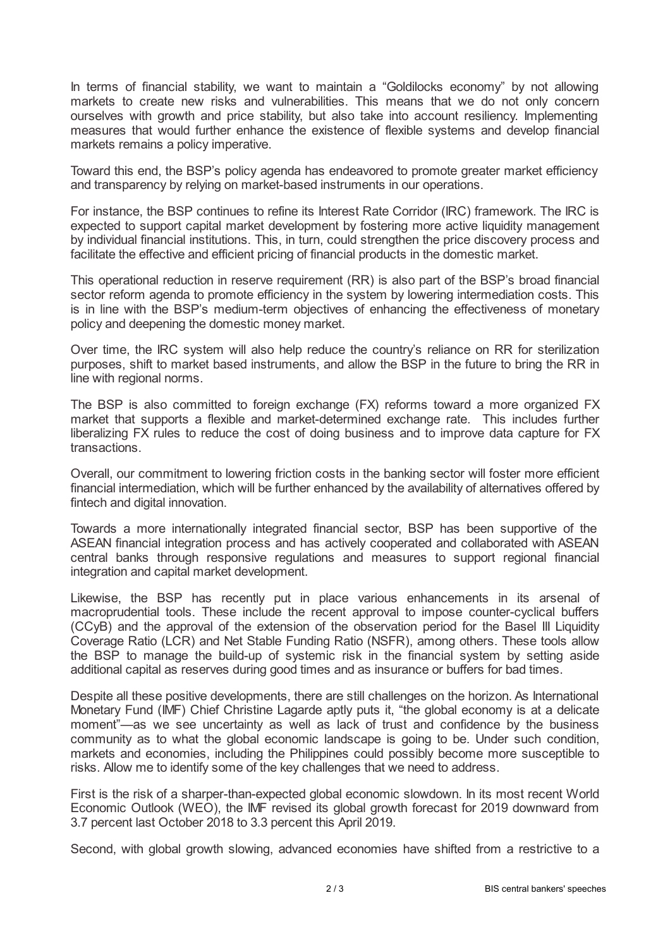In terms of financial stability, we want to maintain a "Goldilocks economy" by not allowing markets to create new risks and vulnerabilities. This means that we do not only concern ourselves with growth and price stability, but also take into account resiliency. Implementing measures that would further enhance the existence of flexible systems and develop financial markets remains a policy imperative.

Toward this end, the BSP's policy agenda has endeavored to promote greater market efficiency and transparency by relying on market-based instruments in our operations.

For instance, the BSP continues to refine its Interest Rate Corridor (IRC) framework. The IRC is expected to support capital market development by fostering more active liquidity management by individual financial institutions. This, in turn, could strengthen the price discovery process and facilitate the effective and efficient pricing of financial products in the domestic market.

This operational reduction in reserve requirement (RR) is also part of the BSP's broad financial sector reform agenda to promote efficiency in the system by lowering intermediation costs. This is in line with the BSP's medium-term objectives of enhancing the effectiveness of monetary policy and deepening the domestic money market.

Over time, the IRC system will also help reduce the country's reliance on RR for sterilization purposes, shift to market based instruments, and allow the BSP in the future to bring the RR in line with regional norms.

The BSP is also committed to foreign exchange (FX) reforms toward a more organized FX market that supports a flexible and market-determined exchange rate. This includes further liberalizing FX rules to reduce the cost of doing business and to improve data capture for FX transactions.

Overall, our commitment to lowering friction costs in the banking sector will foster more efficient financial intermediation, which will be further enhanced by the availability of alternatives offered by fintech and digital innovation.

Towards a more internationally integrated financial sector, BSP has been supportive of the ASEAN financial integration process and has actively cooperated and collaborated with ASEAN central banks through responsive regulations and measures to support regional financial integration and capital market development.

Likewise, the BSP has recently put in place various enhancements in its arsenal of macroprudential tools. These include the recent approval to impose counter-cyclical buffers (CCyB) and the approval of the extension of the observation period for the Basel III Liquidity Coverage Ratio (LCR) and Net Stable Funding Ratio (NSFR), among others. These tools allow the BSP to manage the build-up of systemic risk in the financial system by setting aside additional capital as reserves during good times and as insurance or buffers for bad times.

Despite all these positive developments, there are still challenges on the horizon. As International Monetary Fund (IMF) Chief Christine Lagarde aptly puts it, "the global economy is at a delicate moment"—as we see uncertainty as well as lack of trust and confidence by the business community as to what the global economic landscape is going to be. Under such condition, markets and economies, including the Philippines could possibly become more susceptible to risks. Allow me to identify some of the key challenges that we need to address.

First is the risk of a sharper-than-expected global economic slowdown. In its most recent World Economic Outlook (WEO), the IMF revised its global growth forecast for 2019 downward from 3.7 percent last October 2018 to 3.3 percent this April 2019.

Second, with global growth slowing, advanced economies have shifted from a restrictive to a